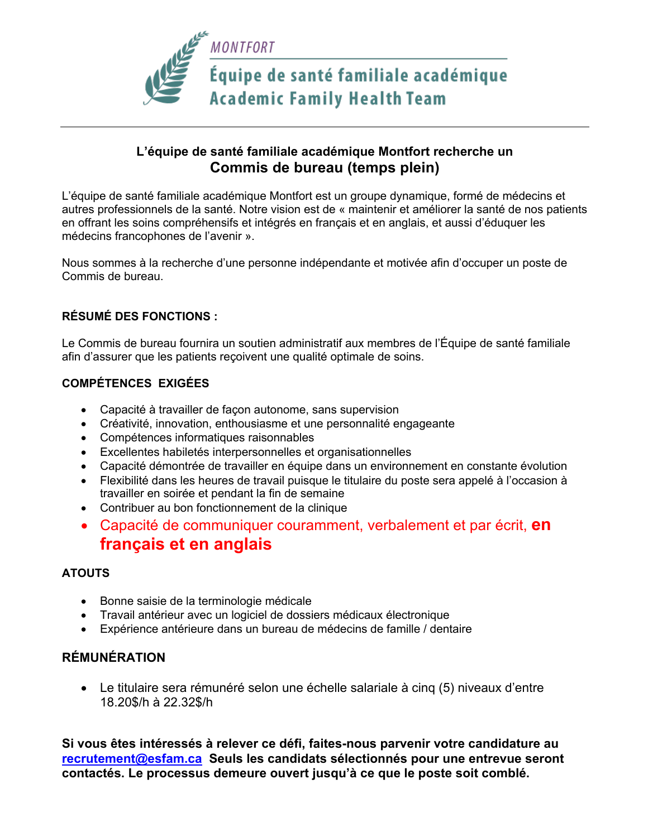

# **L'équipe de santé familiale académique Montfort recherche un Commis de bureau (temps plein)**

L'équipe de santé familiale académique Montfort est un groupe dynamique, formé de médecins et autres professionnels de la santé. Notre vision est de « maintenir et améliorer la santé de nos patients en offrant les soins compréhensifs et intégrés en français et en anglais, et aussi d'éduquer les médecins francophones de l'avenir ».

Nous sommes à la recherche d'une personne indépendante et motivée afin d'occuper un poste de Commis de bureau.

### **RÉSUMÉ DES FONCTIONS :**

Le Commis de bureau fournira un soutien administratif aux membres de l'Équipe de santé familiale afin d'assurer que les patients reçoivent une qualité optimale de soins.

### **COMPÉTENCES EXIGÉES**

- Capacité à travailler de façon autonome, sans supervision
- Créativité, innovation, enthousiasme et une personnalité engageante
- Compétences informatiques raisonnables
- Excellentes habiletés interpersonnelles et organisationnelles
- Capacité démontrée de travailler en équipe dans un environnement en constante évolution
- Flexibilité dans les heures de travail puisque le titulaire du poste sera appelé à l'occasion à travailler en soirée et pendant la fin de semaine
- Contribuer au bon fonctionnement de la clinique
- Capacité de communiquer couramment, verbalement et par écrit, **en français et en anglais**

#### **ATOUTS**

- Bonne saisie de la terminologie médicale
- Travail antérieur avec un logiciel de dossiers médicaux électronique
- Expérience antérieure dans un bureau de médecins de famille / dentaire

# **RÉMUNÉRATION**

• Le titulaire sera rémunéré selon une échelle salariale à cinq (5) niveaux d'entre 18.20\$/h à 22.32\$/h

**Si vous êtes intéressés à relever ce défi, faites-nous parvenir votre candidature au recrutement@esfam.ca Seuls les candidats sélectionnés pour une entrevue seront contactés. Le processus demeure ouvert jusqu'à ce que le poste soit comblé.**